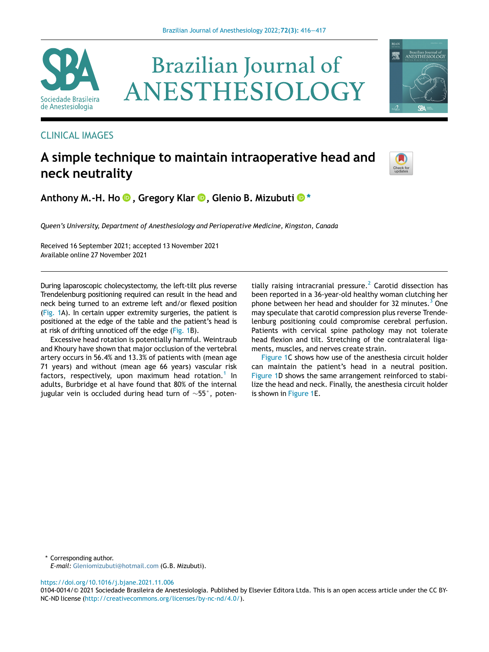

# **Brazilian Journal of** ANESTHESIOLOGY

## CLINICAL IMAGES

## A simple technique to maintain intraoperative head and neck neutrality



嚮

Brazilian Journal of<br>ANESTHESIOLOG

Anthony M.-H. Ho  $\bullet$ [, Gregory Klar](http://orcid.org/0000-0001-9166-0108)  $\bullet$ [, Glenio B. Mizubuti](http://orcid.org/0000-0002-5515-829X)  $\bullet^*$  $\bullet^*$ 

Queen's University, Department of Anesthesiology and Perioperative Medicine, Kingston, Canada

Received 16 September 2021; accepted 13 November 2021 Available online 27 November 2021

During laparoscopic cholecystectomy, the left-tilt plus reverse Trendelenburg positioning required can result in the head and neck being turned to an extreme left and/or flexed position ([Fig. 1A](#page-1-0)). In certain upper extremity surgeries, the patient is positioned at the edge of the table and the patient's head is at risk of drifting unnoticed off the edge [\(Fig. 1B](#page-1-0)).

Excessive head rotation is potentially harmful. Weintraub and Khoury have shown that major occlusion of the vertebral artery occurs in 56.4% and 13.3% of patients with (mean age 71 years) and without (mean age 66 years) vascular risk factors, respectively, upon maximum head rotation.<sup>[1](#page-1-1)</sup> In adults, Burbridge et al have found that 80% of the internal jugular vein is occluded during head turn of  $\sim$ 55°, poten-

tially raising intracranial pressure.<sup>[2](#page-1-2)</sup> Carotid dissection has been reported in a 36-year-old healthy woman clutching her phone between her head and shoulder for [3](#page-1-3)2 minutes.<sup>3</sup> One may speculate that carotid compression plus reverse Trendelenburg positioning could compromise cerebral perfusion. Patients with cervical spine pathology may not tolerate head flexion and tilt. Stretching of the contralateral ligaments, muscles, and nerves create strain.

[Figure 1C](#page-1-0) shows how use of the anesthesia circuit holder can maintain the patient's head in a neutral position. [Figure 1](#page-1-0)D shows the same arrangement reinforced to stabilize the head and neck. Finally, the anesthesia circuit holder is shown in [Figure 1E](#page-1-0).

<span id="page-0-0"></span>\* Corresponding author.

E-mail: [Gleniomizubuti@hotmail.com](mailto:Gleniomizubuti@hotmail.com) (G.B. Mizubuti).

<https://doi.org/10.1016/j.bjane.2021.11.006>

0104-0014/© 2021 Sociedade Brasileira de Anestesiologia. Published by Elsevier Editora Ltda. This is an open access article under the CC BY-NC-ND license [\(http://creativecommons.org/licenses/by-nc-nd/4.0/](http://creativecommons.org/licenses/by-nc-nd/4.0/)).